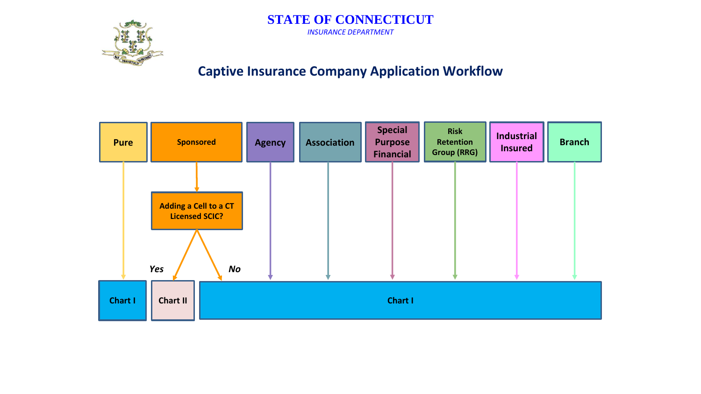<span id="page-0-0"></span>

#### **STATE OF CONNECTICUT** *INSURANCE DEPARTMENT*

## **Captive Insurance Company Application Workflow**

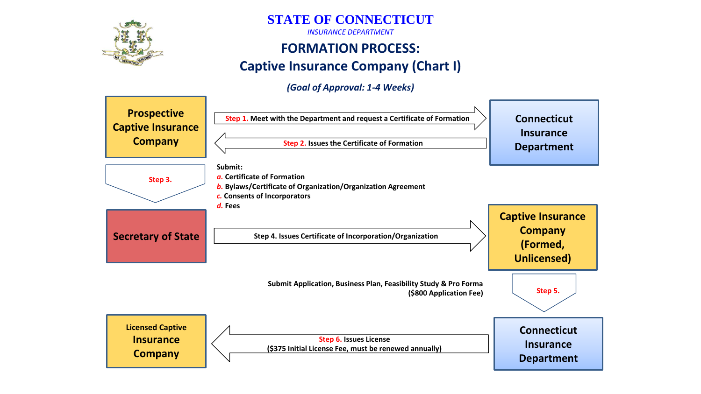

**STATE OF CONNECTICUT**

*INSURANCE DEPARTMENT*

## **FORMATION PROCESS: Captive Insurance Company (Chart I)**

#### *(Goal of Approval: 1-4 Weeks)*